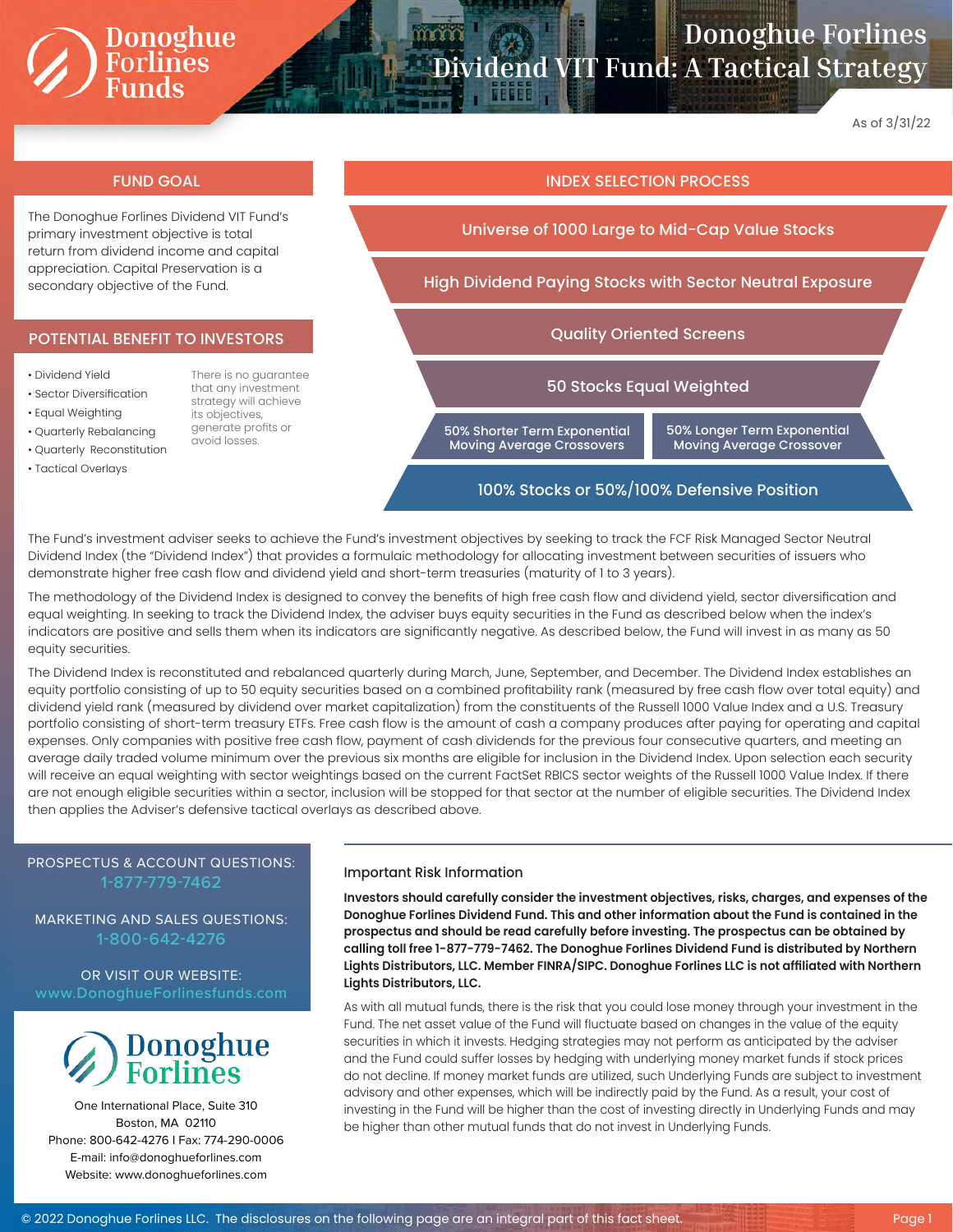# Donoghue<br>Forlines<br>Funds

### **Donoghue Forlines Dividend VIT Fund: A Tactical Strategy**

As of 3/31/22

#### FUND GOAL INDEX SELECTION PROCESS

The Donoghue Forlines Dividend VIT Fund's primary investment objective is total return from dividend income and capital appreciation. Capital Preservation is a secondary objective of the Fund.

#### POTENTIAL BENEFIT TO INVESTORS

- Dividend Yield
- Sector Diversification

• Quarterly Rebalancing

- Equal Weighting
- that any investment strategy will achieve its objectives, generate profits or
- Quarterly Reconstitution • Tactical Overlays

There is no guarantee avoid losses.

Universe of 1000 Large to Mid-Cap Value Stocks High Dividend Paying Stocks with Sector Neutral Exposure Quality Oriented Screens 50 Stocks Equal Weighted 50% Shorter Term Exponential Moving Average Crossovers 50% Longer Term Exponential Moving Average Crossover

#### 100% Stocks or 50%/100% Defensive Position

The Fund's investment adviser seeks to achieve the Fund's investment objectives by seeking to track the FCF Risk Managed Sector Neutral Dividend Index (the "Dividend Index") that provides a formulaic methodology for allocating investment between securities of issuers who demonstrate higher free cash flow and dividend yield and short-term treasuries (maturity of 1 to 3 years).

The methodology of the Dividend Index is designed to convey the benefits of high free cash flow and dividend yield, sector diversification and equal weighting. In seeking to track the Dividend Index, the adviser buys equity securities in the Fund as described below when the index's indicators are positive and sells them when its indicators are significantly negative. As described below, the Fund will invest in as many as 50 equity securities.

The Dividend Index is reconstituted and rebalanced quarterly during March, June, September, and December. The Dividend Index establishes an equity portfolio consisting of up to 50 equity securities based on a combined profitability rank (measured by free cash flow over total equity) and dividend yield rank (measured by dividend over market capitalization) from the constituents of the Russell 1000 Value Index and a U.S. Treasury portfolio consisting of short-term treasury ETFs. Free cash flow is the amount of cash a company produces after paying for operating and capital expenses. Only companies with positive free cash flow, payment of cash dividends for the previous four consecutive quarters, and meeting an average daily traded volume minimum over the previous six months are eligible for inclusion in the Dividend Index. Upon selection each security will receive an equal weighting with sector weightings based on the current FactSet RBICS sector weights of the Russell 1000 Value Index. If there are not enough eligible securities within a sector, inclusion will be stopped for that sector at the number of eligible securities. The Dividend Index then applies the Adviser's defensive tactical overlays as described above.

#### PROSPECTUS & ACCOUNT QUESTIONS: 1-877-779-7462

MARKETING AND SALES QUESTIONS: 1-800-642-4276

## OR VISIT OUR WEBSITE:



One International Place, Suite 310 Boston, MA 02110 Phone: 800-642-4276 I Fax: 774-290-0006 E-mail: info@donoghueforlines.com Website: www.donoghueforlines.com

#### Important Risk Information

**Investors should carefully consider the investment objectives, risks, charges, and expenses of the Donoghue Forlines Dividend Fund. This and other information about the Fund is contained in the prospectus and should be read carefully before investing. The prospectus can be obtained by calling toll free 1-877-779-7462. The Donoghue Forlines Dividend Fund is distributed by Northern Lights Distributors, LLC. Member FINRA/SIPC. Donoghue Forlines LLC is not affiliated with Northern Lights Distributors, LLC.**

As with all mutual funds, there is the risk that you could lose money through your investment in the Fund. The net asset value of the Fund will fluctuate based on changes in the value of the equity securities in which it invests. Hedging strategies may not perform as anticipated by the adviser and the Fund could suffer losses by hedging with underlying money market funds if stock prices do not decline. If money market funds are utilized, such Underlying Funds are subject to investment advisory and other expenses, which will be indirectly paid by the Fund. As a result, your cost of investing in the Fund will be higher than the cost of investing directly in Underlying Funds and may be higher than other mutual funds that do not invest in Underlying Funds.